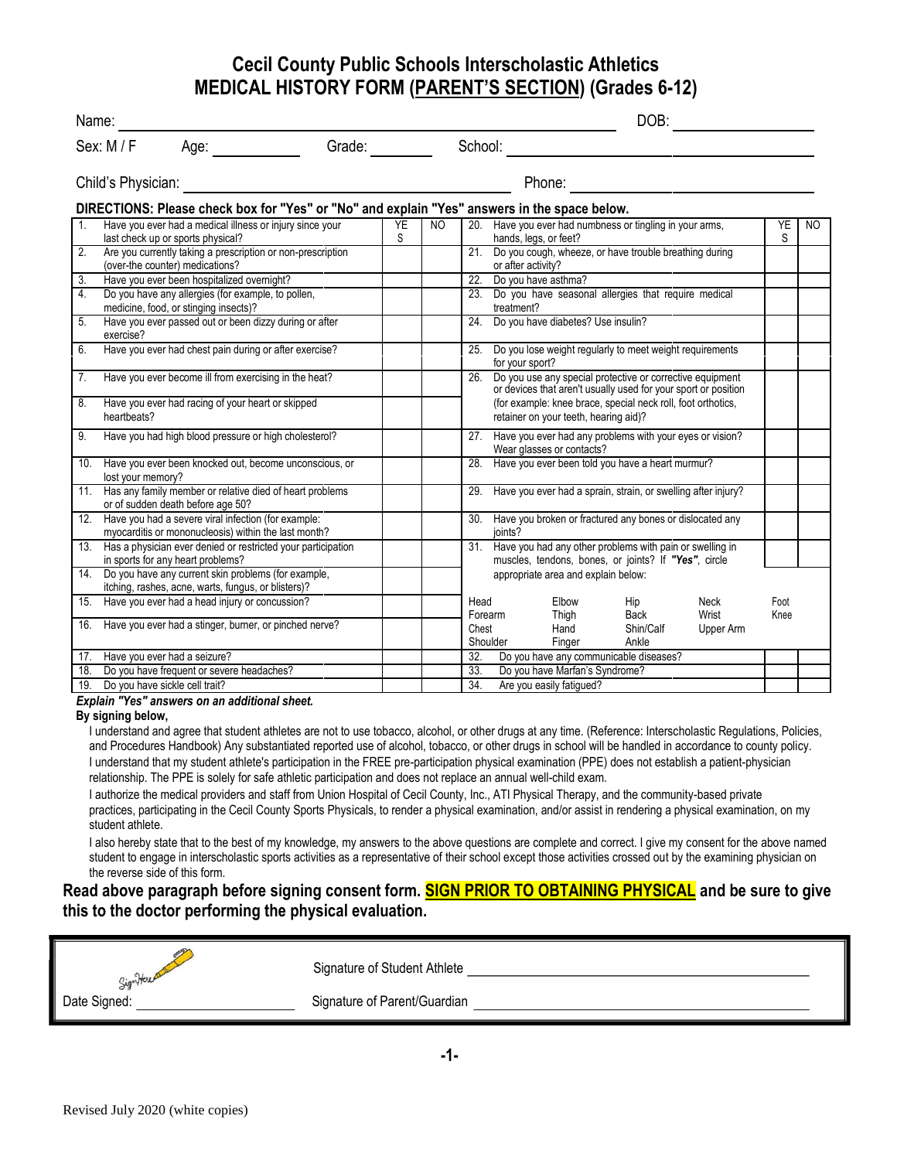#### **Cecil County Public Schools Interscholastic Athletics MEDICAL HISTORY FORM (PARENT'S SECTION) (Grades 6-12)**

| Name:                                        |                                |                                                                                                                 |                                                                                              |                | DOB: |                 |                    |                                       |                                                                                                                             |               |                |     |
|----------------------------------------------|--------------------------------|-----------------------------------------------------------------------------------------------------------------|----------------------------------------------------------------------------------------------|----------------|------|-----------------|--------------------|---------------------------------------|-----------------------------------------------------------------------------------------------------------------------------|---------------|----------------|-----|
| Grade:<br>Sex: $M/F$<br>Age: $\qquad \qquad$ |                                |                                                                                                                 |                                                                                              | School:        |      |                 |                    |                                       |                                                                                                                             |               |                |     |
|                                              | Child's Physician:             |                                                                                                                 |                                                                                              |                |      | Phone:          |                    |                                       |                                                                                                                             |               |                |     |
|                                              |                                |                                                                                                                 | DIRECTIONS: Please check box for "Yes" or "No" and explain "Yes" answers in the space below. |                |      |                 |                    |                                       |                                                                                                                             |               |                |     |
| 1.                                           |                                | Have you ever had a medical illness or injury since your<br>last check up or sports physical?                   |                                                                                              | <b>YE</b><br>S | NO   |                 |                    | hands, legs, or feet?                 | 20. Have you ever had numbness or tingling in your arms,                                                                    |               | <b>YE</b><br>S | NO. |
| 2.                                           |                                | (over-the counter) medications?                                                                                 | Are you currently taking a prescription or non-prescription                                  |                |      |                 | or after activity? |                                       | 21. Do you cough, wheeze, or have trouble breathing during                                                                  |               |                |     |
| 3.                                           |                                | Have you ever been hospitalized overnight?                                                                      |                                                                                              |                |      |                 |                    | 22. Do you have asthma?               |                                                                                                                             |               |                |     |
| $\overline{4}$ .                             |                                | Do you have any allergies (for example, to pollen,<br>medicine, food, or stinging insects)?                     |                                                                                              |                |      |                 | treatment?         |                                       | 23. Do you have seasonal allergies that require medical                                                                     |               |                |     |
| $\overline{5}$ .                             | exercise?                      | Have you ever passed out or been dizzy during or after                                                          |                                                                                              |                |      | 24.             |                    | Do you have diabetes? Use insulin?    |                                                                                                                             |               |                |     |
| 6.                                           |                                | Have you ever had chest pain during or after exercise?                                                          |                                                                                              |                |      |                 | for your sport?    |                                       | 25. Do you lose weight regularly to meet weight requirements                                                                |               |                |     |
| 7.                                           |                                | Have you ever become ill from exercising in the heat?                                                           |                                                                                              |                |      | 26.             |                    |                                       | Do you use any special protective or corrective equipment<br>or devices that aren't usually used for your sport or position |               |                |     |
| 8.                                           | heartbeats?                    | Have you ever had racing of your heart or skipped                                                               |                                                                                              |                |      |                 |                    | retainer on your teeth, hearing aid)? | (for example: knee brace, special neck roll, foot orthotics,                                                                |               |                |     |
| 9.                                           |                                | Have you had high blood pressure or high cholesterol?                                                           |                                                                                              |                |      |                 |                    | Wear glasses or contacts?             | 27. Have you ever had any problems with your eyes or vision?                                                                |               |                |     |
|                                              | lost your memory?              |                                                                                                                 | 10. Have you ever been knocked out, become unconscious, or                                   |                |      |                 |                    |                                       | 28. Have you ever been told you have a heart murmur?                                                                        |               |                |     |
|                                              |                                | or of sudden death before age 50?                                                                               | 11. Has any family member or relative died of heart problems                                 |                |      |                 |                    |                                       | 29. Have you ever had a sprain, strain, or swelling after injury?                                                           |               |                |     |
|                                              |                                | 12. Have you had a severe viral infection (for example:<br>myocarditis or mononucleosis) within the last month? |                                                                                              |                |      | 30.             | ioints?            |                                       | Have you broken or fractured any bones or dislocated any                                                                    |               |                |     |
|                                              |                                | in sports for any heart problems?                                                                               | 13. Has a physician ever denied or restricted your participation                             |                |      |                 |                    |                                       | 31. Have you had any other problems with pain or swelling in<br>muscles, tendons, bones, or joints? If "Yes", circle        |               |                |     |
|                                              |                                | 14. Do you have any current skin problems (for example,<br>itching, rashes, acne, warts, fungus, or blisters)?  |                                                                                              |                |      |                 |                    | appropriate area and explain below:   |                                                                                                                             |               |                |     |
|                                              |                                | 15. Have you ever had a head injury or concussion?                                                              |                                                                                              |                |      | Head<br>Forearm |                    | Elbow<br>Thigh                        | Hip<br>Back                                                                                                                 | Neck<br>Wrist | Foot<br>Knee   |     |
|                                              |                                | 16. Have you ever had a stinger, burner, or pinched nerve?                                                      |                                                                                              |                |      | Chest           | Shoulder           | Hand<br>Finger                        | Shin/Calf<br>Ankle                                                                                                          | Upper Arm     |                |     |
| 17.                                          | Have you ever had a seizure?   |                                                                                                                 |                                                                                              |                |      | 32.             |                    |                                       | Do you have any communicable diseases?                                                                                      |               |                |     |
| 18.                                          |                                | Do you have frequent or severe headaches?                                                                       |                                                                                              |                |      | 33.             |                    | Do you have Marfan's Syndrome?        |                                                                                                                             |               |                |     |
| 19.                                          | Do you have sickle cell trait? |                                                                                                                 |                                                                                              |                |      | 34.             |                    | Are you easily fatigued?              |                                                                                                                             |               |                |     |

#### *Explain "Yes" answers on an additional sheet.*

#### **By signing below,**

I understand and agree that student athletes are not to use tobacco, alcohol, or other drugs at any time. (Reference: Interscholastic Regulations, Policies, and Procedures Handbook) Any substantiated reported use of alcohol, tobacco, or other drugs in school will be handled in accordance to county policy. I understand that my student athlete's participation in the FREE pre-participation physical examination (PPE) does not establish a patient-physician relationship. The PPE is solely for safe athletic participation and does not replace an annual well-child exam.

I authorize the medical providers and staff from Union Hospital of Cecil County, Inc., ATI Physical Therapy, and the community-based private practices, participating in the Cecil County Sports Physicals, to render a physical examination, and/or assist in rendering a physical examination, on my student athlete.

I also hereby state that to the best of my knowledge, my answers to the above questions are complete and correct. I give my consent for the above named student to engage in interscholastic sports activities as a representative of their school except those activities crossed out by the examining physician on the reverse side of this form.

#### **Read above paragraph before signing consent form. SIGN PRIOR TO OBTAINING PHYSICAL and be sure to give this to the doctor performing the physical evaluation.**

| Signiferent  | Signature of Student Athlete |
|--------------|------------------------------|
| Date Signed: | Signature of Parent/Guardian |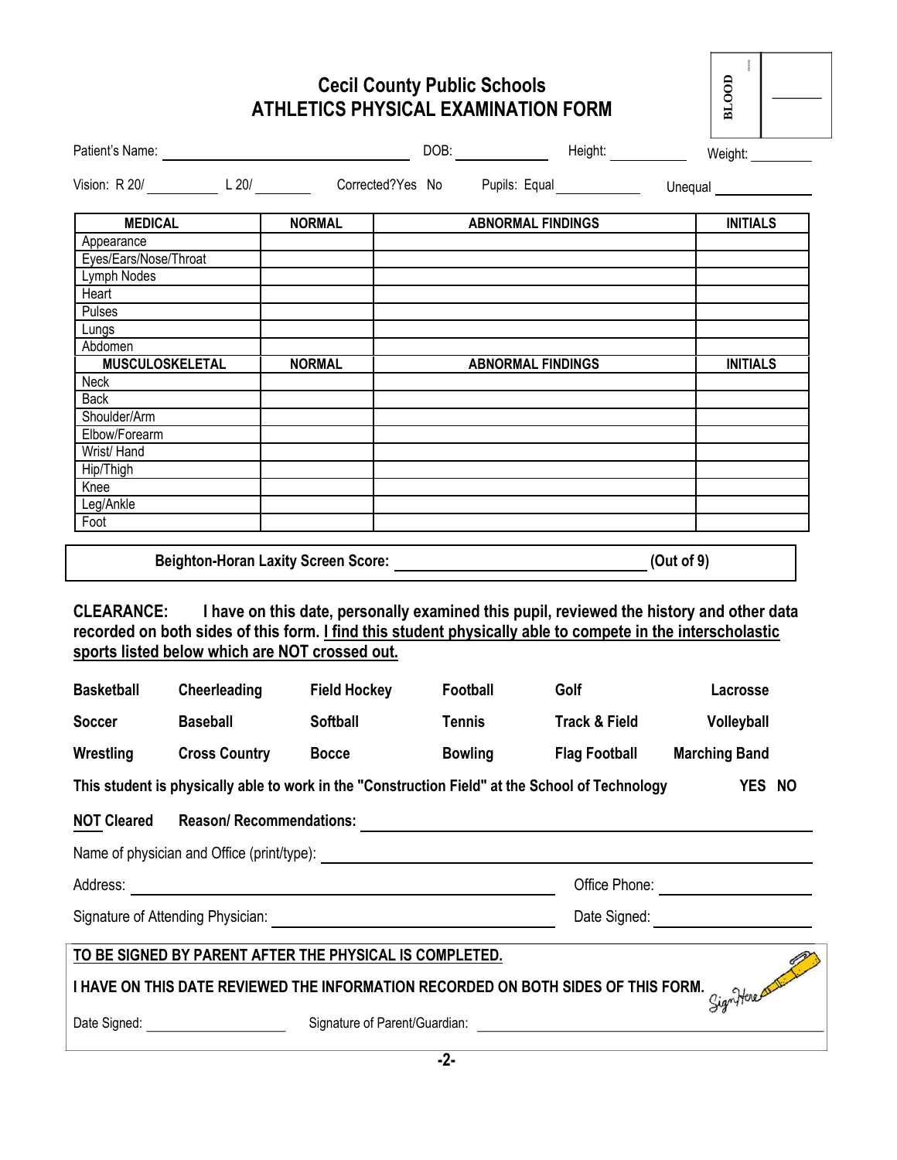## **Cecil County Public Schools ATHLETICS PHYSICAL EXAMINATION FORM**

| <b>NORMAL</b>                                                                                                                                                |                |                      | <b>INITIALS</b>                                                                                                                          |  |
|--------------------------------------------------------------------------------------------------------------------------------------------------------------|----------------|----------------------|------------------------------------------------------------------------------------------------------------------------------------------|--|
|                                                                                                                                                              |                |                      |                                                                                                                                          |  |
|                                                                                                                                                              |                |                      |                                                                                                                                          |  |
|                                                                                                                                                              |                |                      |                                                                                                                                          |  |
|                                                                                                                                                              |                |                      |                                                                                                                                          |  |
|                                                                                                                                                              |                |                      |                                                                                                                                          |  |
|                                                                                                                                                              |                |                      |                                                                                                                                          |  |
|                                                                                                                                                              |                |                      | <b>INITIALS</b>                                                                                                                          |  |
|                                                                                                                                                              |                |                      |                                                                                                                                          |  |
|                                                                                                                                                              |                |                      |                                                                                                                                          |  |
|                                                                                                                                                              |                |                      |                                                                                                                                          |  |
|                                                                                                                                                              |                |                      |                                                                                                                                          |  |
|                                                                                                                                                              |                |                      |                                                                                                                                          |  |
|                                                                                                                                                              |                |                      |                                                                                                                                          |  |
|                                                                                                                                                              |                |                      |                                                                                                                                          |  |
|                                                                                                                                                              |                |                      |                                                                                                                                          |  |
|                                                                                                                                                              |                |                      |                                                                                                                                          |  |
|                                                                                                                                                              |                |                      |                                                                                                                                          |  |
| recorded on both sides of this form. I find this student physically able to compete in the interscholastic<br>sports listed below which are NOT crossed out. |                |                      | I have on this date, personally examined this pupil, reviewed the history and other data                                                 |  |
| Cheerleading<br><b>Field Hockey</b>                                                                                                                          | Football       | Golf                 | Lacrosse                                                                                                                                 |  |
| <b>Softball</b>                                                                                                                                              | <b>Tennis</b>  | Track & Field        | Volleyball                                                                                                                               |  |
| <b>Cross Country</b><br><b>Bocce</b>                                                                                                                         | <b>Bowling</b> | <b>Flag Football</b> | <b>Marching Band</b>                                                                                                                     |  |
| This student is physically able to work in the "Construction Field" at the School of Technology                                                              |                |                      | YES NO                                                                                                                                   |  |
|                                                                                                                                                              |                |                      |                                                                                                                                          |  |
|                                                                                                                                                              |                |                      |                                                                                                                                          |  |
|                                                                                                                                                              |                |                      | Office Phone: <u>________________________</u>                                                                                            |  |
|                                                                                                                                                              |                |                      | Date Signed: _________________________                                                                                                   |  |
| TO BE SIGNED BY PARENT AFTER THE PHYSICAL IS COMPLETED.                                                                                                      |                |                      |                                                                                                                                          |  |
|                                                                                                                                                              |                |                      |                                                                                                                                          |  |
|                                                                                                                                                              | <b>NORMAL</b>  |                      | Vision: R 20/ L 20/ L 20/ Corrected?Yes No Pupils: Equal L Unequal<br><b>ABNORMAL FINDINGS</b><br><b>ABNORMAL FINDINGS</b><br>(Out of 9) |  |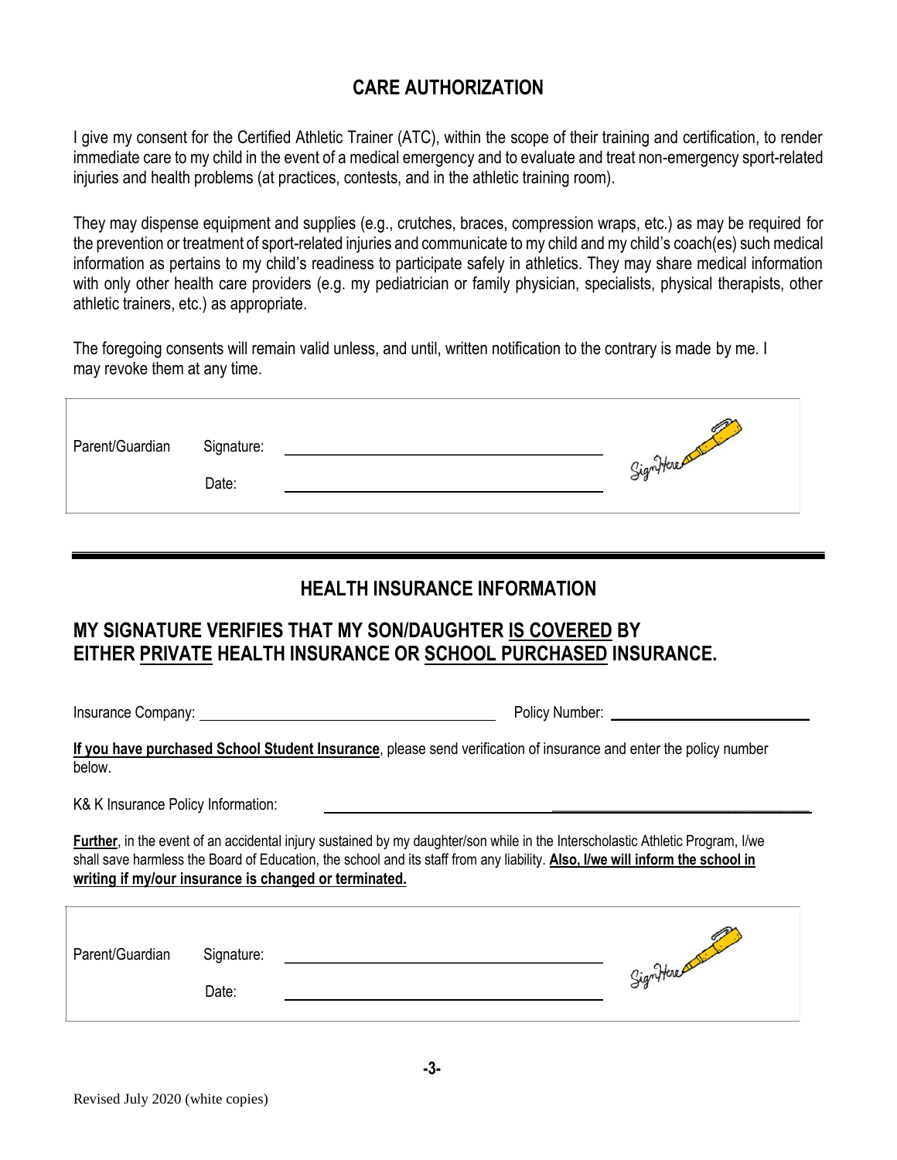## **CARE AUTHORIZATION**

I give my consent for the Certified Athletic Trainer (ATC), within the scope of their training and certification, to render immediate care to my child in the event of a medical emergency and to evaluate and treat non-emergency sport-related injuries and health problems (at practices, contests, and in the athletic training room).

They may dispense equipment and supplies (e.g., crutches, braces, compression wraps, etc.) as may be required for the prevention or treatment of sport-related injuries and communicate to my child and my child's coach(es) such medical information as pertains to my child's readiness to participate safely in athletics. They may share medical information with only other health care providers (e.g. my pediatrician or family physician, specialists, physical therapists, other athletic trainers, etc.) as appropriate.

The foregoing consents will remain valid unless, and until, written notification to the contrary is made by me. I may revoke them at any time.

| Parent/Guardian | Signature:<br>Date: | Significant |
|-----------------|---------------------|-------------|
|                 |                     |             |

#### **HEALTH INSURANCE INFORMATION**

# **MY SIGNATURE VERIFIES THAT MY SON/DAUGHTER IS COVERED BY EITHER PRIVATE HEALTH INSURANCE OR SCHOOL PURCHASED INSURANCE.**

Insurance Company: Policy Number: **\_\_\_\_\_\_\_\_\_\_\_\_\_\_\_\_\_\_\_\_\_\_\_\_\_\_\_**

**If you have purchased School Student Insurance**, please send verification of insurance and enter the policy number below.

K& K Insurance Policy Information:

**Further**, in the event of an accidental injury sustained by my daughter/son while in the Interscholastic Athletic Program, I/we shall save harmless the Board of Education, the school and its staff from any liability. **Also, I/we will inform the school in writing if my/our insurance is changed or terminated.**

| Parent/Guardian | Signature: |             |
|-----------------|------------|-------------|
|                 | Date:      | Significant |